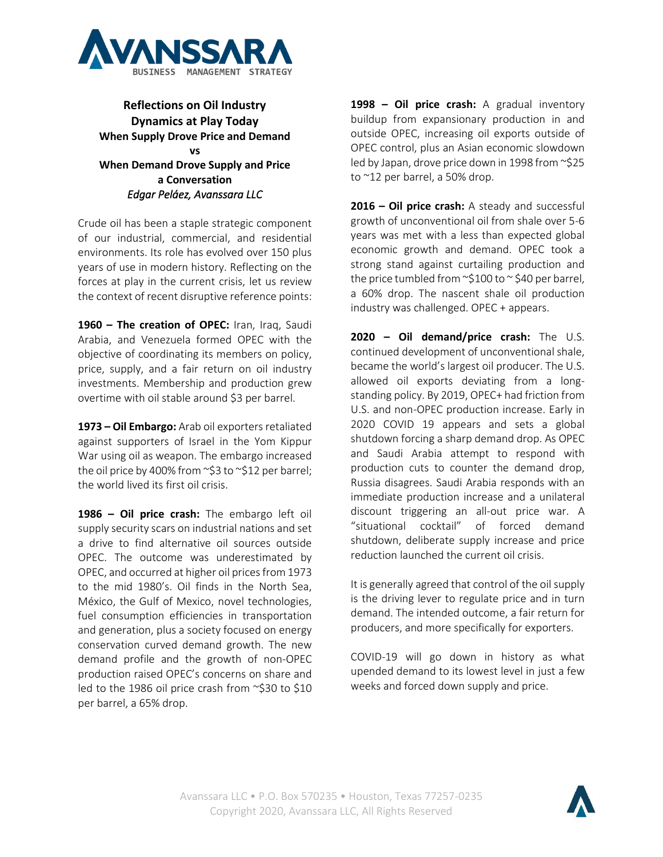

## **Reflections on Oil Industry Dynamics at Play Today When Supply Drove Price and Demand vs When Demand Drove Supply and Price a Conversation** *Edgar Peláez, Avanssara LLC*

Crude oil has been a staple strategic component of our industrial, commercial, and residential environments. Its role has evolved over 150 plus years of use in modern history. Reflecting on the forces at play in the current crisis, let us review the context of recent disruptive reference points:

**1960 – The creation of OPEC:** Iran, Iraq, Saudi Arabia, and Venezuela formed OPEC with the objective of coordinating its members on policy, price, supply, and a fair return on oil industry investments. Membership and production grew overtime with oil stable around \$3 per barrel.

**1973 – Oil Embargo:** Arab oil exporters retaliated against supporters of Israel in the Yom Kippur War using oil as weapon. The embargo increased the oil price by 400% from ~\$3 to ~\$12 per barrel; the world lived its first oil crisis.

**1986 – Oil price crash:** The embargo left oil supply security scars on industrial nations and set a drive to find alternative oil sources outside OPEC. The outcome was underestimated by OPEC, and occurred at higher oil prices from 1973 to the mid 1980's. Oil finds in the North Sea, México, the Gulf of Mexico, novel technologies, fuel consumption efficiencies in transportation and generation, plus a society focused on energy conservation curved demand growth. The new demand profile and the growth of non-OPEC production raised OPEC's concerns on share and led to the 1986 oil price crash from ~\$30 to \$10 per barrel, a 65% drop.

**1998 – Oil price crash:** A gradual inventory buildup from expansionary production in and outside OPEC, increasing oil exports outside of OPEC control, plus an Asian economic slowdown led by Japan, drove price down in 1998 from ~\$25 to ~12 per barrel, a 50% drop.

**2016 – Oil price crash:** A steady and successful growth of unconventional oil from shale over 5-6 years was met with a less than expected global economic growth and demand. OPEC took a strong stand against curtailing production and the price tumbled from  $\sim$ \$100 to  $\sim$  \$40 per barrel, a 60% drop. The nascent shale oil production industry was challenged. OPEC + appears.

**2020 – Oil demand/price crash:** The U.S. continued development of unconventional shale, became the world's largest oil producer. The U.S. allowed oil exports deviating from a longstanding policy. By 2019, OPEC+ had friction from U.S. and non-OPEC production increase. Early in 2020 COVID 19 appears and sets a global shutdown forcing a sharp demand drop. As OPEC and Saudi Arabia attempt to respond with production cuts to counter the demand drop, Russia disagrees. Saudi Arabia responds with an immediate production increase and a unilateral discount triggering an all-out price war. A "situational cocktail" of forced demand shutdown, deliberate supply increase and price reduction launched the current oil crisis.

It is generally agreed that control of the oil supply is the driving lever to regulate price and in turn demand. The intended outcome, a fair return for producers, and more specifically for exporters.

COVID-19 will go down in history as what upended demand to its lowest level in just a few weeks and forced down supply and price.

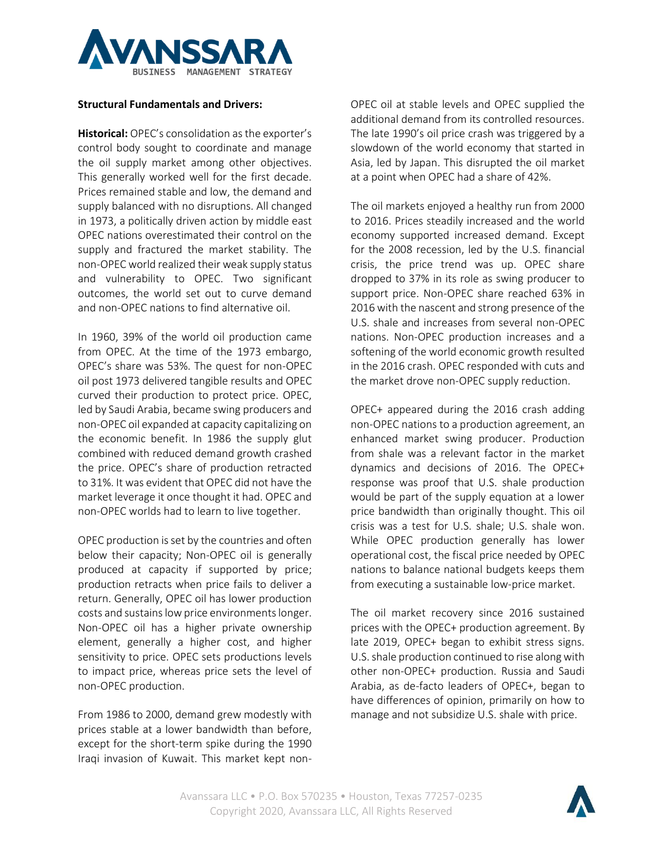

## **Structural Fundamentals and Drivers:**

**Historical:** OPEC's consolidation as the exporter's control body sought to coordinate and manage the oil supply market among other objectives. This generally worked well for the first decade. Prices remained stable and low, the demand and supply balanced with no disruptions. All changed in 1973, a politically driven action by middle east OPEC nations overestimated their control on the supply and fractured the market stability. The non-OPEC world realized their weak supply status and vulnerability to OPEC. Two significant outcomes, the world set out to curve demand and non-OPEC nations to find alternative oil.

In 1960, 39% of the world oil production came from OPEC. At the time of the 1973 embargo, OPEC's share was 53%. The quest for non-OPEC oil post 1973 delivered tangible results and OPEC curved their production to protect price. OPEC, led by Saudi Arabia, became swing producers and non-OPEC oil expanded at capacity capitalizing on the economic benefit. In 1986 the supply glut combined with reduced demand growth crashed the price. OPEC's share of production retracted to 31%. It was evident that OPEC did not have the market leverage it once thought it had. OPEC and non-OPEC worlds had to learn to live together.

OPEC production is set by the countries and often below their capacity; Non-OPEC oil is generally produced at capacity if supported by price; production retracts when price fails to deliver a return. Generally, OPEC oil has lower production costs and sustains low price environments longer. Non-OPEC oil has a higher private ownership element, generally a higher cost, and higher sensitivity to price. OPEC sets productions levels to impact price, whereas price sets the level of non-OPEC production.

From 1986 to 2000, demand grew modestly with prices stable at a lower bandwidth than before, except for the short-term spike during the 1990 Iraqi invasion of Kuwait. This market kept nonOPEC oil at stable levels and OPEC supplied the additional demand from its controlled resources. The late 1990's oil price crash was triggered by a slowdown of the world economy that started in Asia, led by Japan. This disrupted the oil market at a point when OPEC had a share of 42%.

The oil markets enjoyed a healthy run from 2000 to 2016. Prices steadily increased and the world economy supported increased demand. Except for the 2008 recession, led by the U.S. financial crisis, the price trend was up. OPEC share dropped to 37% in its role as swing producer to support price. Non-OPEC share reached 63% in 2016 with the nascent and strong presence of the U.S. shale and increases from several non-OPEC nations. Non-OPEC production increases and a softening of the world economic growth resulted in the 2016 crash. OPEC responded with cuts and the market drove non-OPEC supply reduction.

OPEC+ appeared during the 2016 crash adding non-OPEC nations to a production agreement, an enhanced market swing producer. Production from shale was a relevant factor in the market dynamics and decisions of 2016. The OPEC+ response was proof that U.S. shale production would be part of the supply equation at a lower price bandwidth than originally thought. This oil crisis was a test for U.S. shale; U.S. shale won. While OPEC production generally has lower operational cost, the fiscal price needed by OPEC nations to balance national budgets keeps them from executing a sustainable low-price market.

The oil market recovery since 2016 sustained prices with the OPEC+ production agreement. By late 2019, OPEC+ began to exhibit stress signs. U.S. shale production continued to rise along with other non-OPEC+ production. Russia and Saudi Arabia, as de-facto leaders of OPEC+, began to have differences of opinion, primarily on how to manage and not subsidize U.S. shale with price.

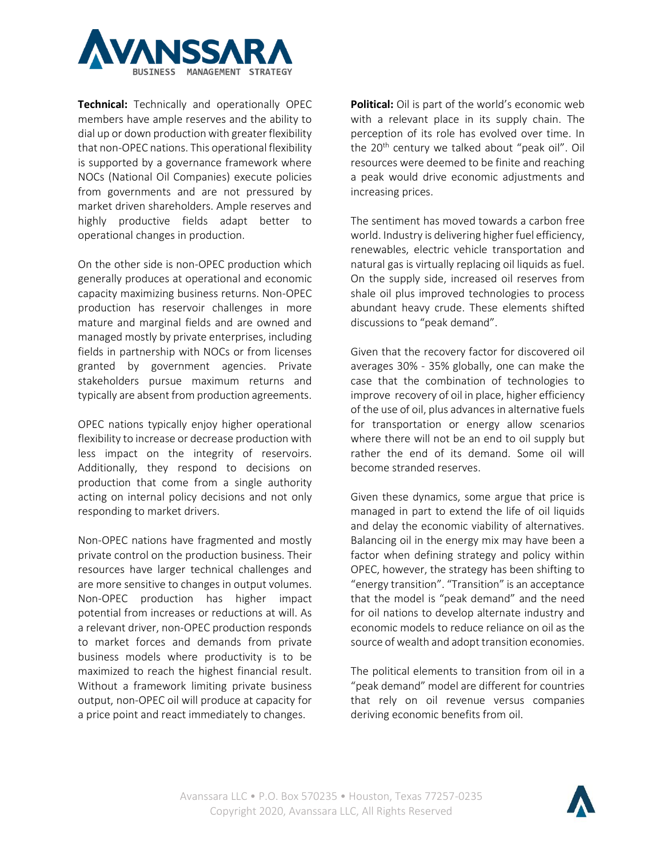

**Technical:** Technically and operationally OPEC members have ample reserves and the ability to dial up or down production with greater flexibility that non-OPEC nations. This operational flexibility is supported by a governance framework where NOCs (National Oil Companies) execute policies from governments and are not pressured by market driven shareholders. Ample reserves and highly productive fields adapt better to operational changes in production.

On the other side is non-OPEC production which generally produces at operational and economic capacity maximizing business returns. Non-OPEC production has reservoir challenges in more mature and marginal fields and are owned and managed mostly by private enterprises, including fields in partnership with NOCs or from licenses granted by government agencies. Private stakeholders pursue maximum returns and typically are absent from production agreements.

OPEC nations typically enjoy higher operational flexibility to increase or decrease production with less impact on the integrity of reservoirs. Additionally, they respond to decisions on production that come from a single authority acting on internal policy decisions and not only responding to market drivers.

Non-OPEC nations have fragmented and mostly private control on the production business. Their resources have larger technical challenges and are more sensitive to changes in output volumes. Non-OPEC production has higher impact potential from increases or reductions at will. As a relevant driver, non-OPEC production responds to market forces and demands from private business models where productivity is to be maximized to reach the highest financial result. Without a framework limiting private business output, non-OPEC oil will produce at capacity for a price point and react immediately to changes.

**Political:** Oil is part of the world's economic web with a relevant place in its supply chain. The perception of its role has evolved over time. In the 20<sup>th</sup> century we talked about "peak oil". Oil resources were deemed to be finite and reaching a peak would drive economic adjustments and increasing prices.

The sentiment has moved towards a carbon free world. Industry is delivering higher fuel efficiency, renewables, electric vehicle transportation and natural gas is virtually replacing oil liquids as fuel. On the supply side, increased oil reserves from shale oil plus improved technologies to process abundant heavy crude. These elements shifted discussions to "peak demand".

Given that the recovery factor for discovered oil averages 30% - 35% globally, one can make the case that the combination of technologies to improve recovery of oil in place, higher efficiency of the use of oil, plus advances in alternative fuels for transportation or energy allow scenarios where there will not be an end to oil supply but rather the end of its demand. Some oil will become stranded reserves.

Given these dynamics, some argue that price is managed in part to extend the life of oil liquids and delay the economic viability of alternatives. Balancing oil in the energy mix may have been a factor when defining strategy and policy within OPEC, however, the strategy has been shifting to "energy transition". "Transition" is an acceptance that the model is "peak demand" and the need for oil nations to develop alternate industry and economic models to reduce reliance on oil as the source of wealth and adopt transition economies.

The political elements to transition from oil in a "peak demand" model are different for countries that rely on oil revenue versus companies deriving economic benefits from oil.

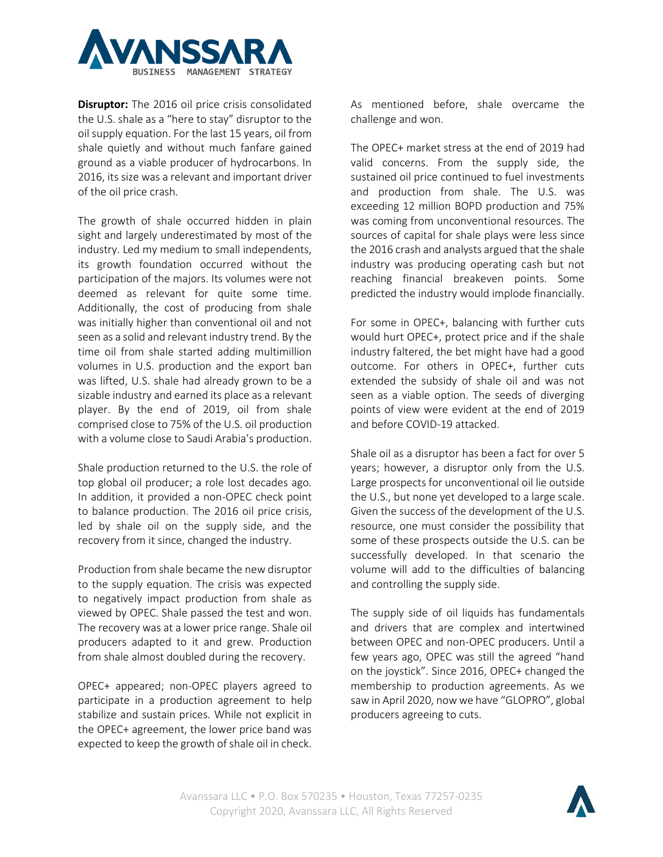

**Disruptor:** The 2016 oil price crisis consolidated the U.S. shale as a "here to stay" disruptor to the oil supply equation. For the last 15 years, oil from shale quietly and without much fanfare gained ground as a viable producer of hydrocarbons. In 2016, its size was a relevant and important driver of the oil price crash.

The growth of shale occurred hidden in plain sight and largely underestimated by most of the industry. Led my medium to small independents, its growth foundation occurred without the participation of the majors. Its volumes were not deemed as relevant for quite some time. Additionally, the cost of producing from shale was initially higher than conventional oil and not seen as a solid and relevant industry trend. By the time oil from shale started adding multimillion volumes in U.S. production and the export ban was lifted, U.S. shale had already grown to be a sizable industry and earned its place as a relevant player. By the end of 2019, oil from shale comprised close to 75% of the U.S. oil production with a volume close to Saudi Arabia's production.

Shale production returned to the U.S. the role of top global oil producer; a role lost decades ago. In addition, it provided a non-OPEC check point to balance production. The 2016 oil price crisis, led by shale oil on the supply side, and the recovery from it since, changed the industry.

Production from shale became the new disruptor to the supply equation. The crisis was expected to negatively impact production from shale as viewed by OPEC. Shale passed the test and won. The recovery was at a lower price range. Shale oil producers adapted to it and grew. Production from shale almost doubled during the recovery.

OPEC+ appeared; non-OPEC players agreed to participate in a production agreement to help stabilize and sustain prices. While not explicit in the OPEC+ agreement, the lower price band was expected to keep the growth of shale oil in check.

As mentioned before, shale overcame the challenge and won.

The OPEC+ market stress at the end of 2019 had valid concerns. From the supply side, the sustained oil price continued to fuel investments and production from shale. The U.S. was exceeding 12 million BOPD production and 75% was coming from unconventional resources. The sources of capital for shale plays were less since the 2016 crash and analysts argued that the shale industry was producing operating cash but not reaching financial breakeven points. Some predicted the industry would implode financially.

For some in OPEC+, balancing with further cuts would hurt OPEC+, protect price and if the shale industry faltered, the bet might have had a good outcome. For others in OPEC+, further cuts extended the subsidy of shale oil and was not seen as a viable option. The seeds of diverging points of view were evident at the end of 2019 and before COVID-19 attacked.

Shale oil as a disruptor has been a fact for over 5 years; however, a disruptor only from the U.S. Large prospects for unconventional oil lie outside the U.S., but none yet developed to a large scale. Given the success of the development of the U.S. resource, one must consider the possibility that some of these prospects outside the U.S. can be successfully developed. In that scenario the volume will add to the difficulties of balancing and controlling the supply side.

The supply side of oil liquids has fundamentals and drivers that are complex and intertwined between OPEC and non-OPEC producers. Until a few years ago, OPEC was still the agreed "hand on the joystick". Since 2016, OPEC+ changed the membership to production agreements. As we saw in April 2020, now we have "GLOPRO", global producers agreeing to cuts.

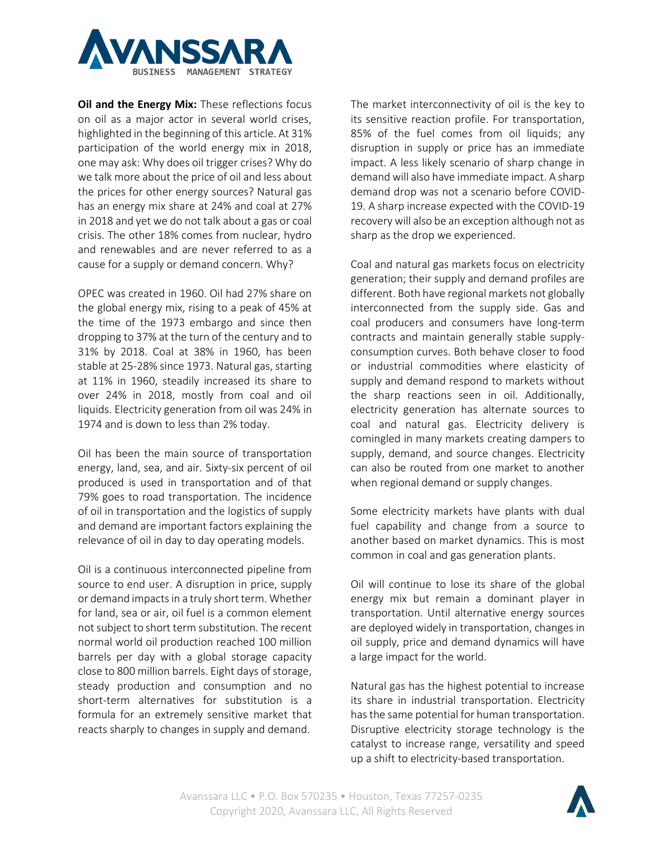

**Oil and the Energy Mix:** These reflections focus on oil as a major actor in several world crises, highlighted in the beginning of this article. At 31% participation of the world energy mix in 2018, one may ask: Why does oil trigger crises? Why do we talk more about the price of oil and less about the prices for other energy sources? Natural gas has an energy mix share at 24% and coal at 27% in 2018 and yet we do not talk about a gas or coal crisis. The other 18% comes from nuclear, hydro and renewables and are never referred to as a cause for a supply or demand concern. Why?

OPEC was created in 1960. Oil had 27% share on the global energy mix, rising to a peak of 45% at the time of the 1973 embargo and since then dropping to 37% at the turn of the century and to 31% by 2018. Coal at 38% in 1960, has been stable at 25-28% since 1973. Natural gas, starting at 11% in 1960, steadily increased its share to over 24% in 2018, mostly from coal and oil liquids. Electricity generation from oil was 24% in 1974 and is down to less than 2% today.

Oil has been the main source of transportation energy, land, sea, and air. Sixty-six percent of oil produced is used in transportation and of that 79% goes to road transportation. The incidence of oil in transportation and the logistics of supply and demand are important factors explaining the relevance of oil in day to day operating models.

Oil is a continuous interconnected pipeline from source to end user. A disruption in price, supply or demand impactsin a truly short term. Whether for land, sea or air, oil fuel is a common element not subject to short term substitution. The recent normal world oil production reached 100 million barrels per day with a global storage capacity close to 800 million barrels. Eight days of storage, steady production and consumption and no short-term alternatives for substitution is a formula for an extremely sensitive market that reacts sharply to changes in supply and demand.

The market interconnectivity of oil is the key to its sensitive reaction profile. For transportation, 85% of the fuel comes from oil liquids; any disruption in supply or price has an immediate impact. A less likely scenario of sharp change in demand will also have immediate impact. A sharp demand drop was not a scenario before COVID-19. A sharp increase expected with the COVID-19 recovery will also be an exception although not as sharp as the drop we experienced.

Coal and natural gas markets focus on electricity generation; their supply and demand profiles are different. Both have regional markets not globally interconnected from the supply side. Gas and coal producers and consumers have long-term contracts and maintain generally stable supplyconsumption curves. Both behave closer to food or industrial commodities where elasticity of supply and demand respond to markets without the sharp reactions seen in oil. Additionally, electricity generation has alternate sources to coal and natural gas. Electricity delivery is comingled in many markets creating dampers to supply, demand, and source changes. Electricity can also be routed from one market to another when regional demand or supply changes.

Some electricity markets have plants with dual fuel capability and change from a source to another based on market dynamics. This is most common in coal and gas generation plants.

Oil will continue to lose its share of the global energy mix but remain a dominant player in transportation. Until alternative energy sources are deployed widely in transportation, changes in oil supply, price and demand dynamics will have a large impact for the world.

Natural gas has the highest potential to increase its share in industrial transportation. Electricity has the same potential for human transportation. Disruptive electricity storage technology is the catalyst to increase range, versatility and speed up a shift to electricity-based transportation.

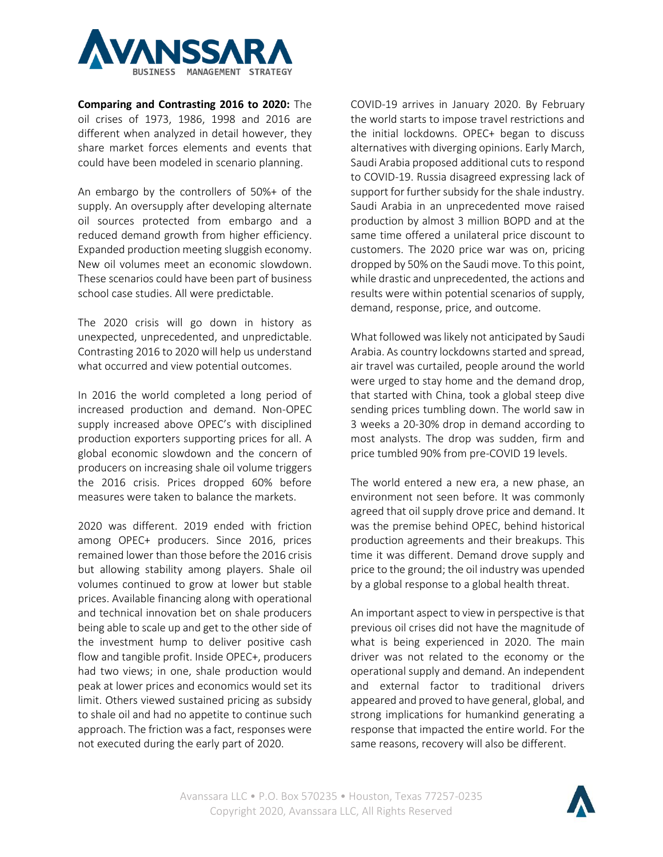

**Comparing and Contrasting 2016 to 2020:** The oil crises of 1973, 1986, 1998 and 2016 are different when analyzed in detail however, they share market forces elements and events that could have been modeled in scenario planning.

An embargo by the controllers of 50%+ of the supply. An oversupply after developing alternate oil sources protected from embargo and a reduced demand growth from higher efficiency. Expanded production meeting sluggish economy. New oil volumes meet an economic slowdown. These scenarios could have been part of business school case studies. All were predictable.

The 2020 crisis will go down in history as unexpected, unprecedented, and unpredictable. Contrasting 2016 to 2020 will help us understand what occurred and view potential outcomes.

In 2016 the world completed a long period of increased production and demand. Non-OPEC supply increased above OPEC's with disciplined production exporters supporting prices for all. A global economic slowdown and the concern of producers on increasing shale oil volume triggers the 2016 crisis. Prices dropped 60% before measures were taken to balance the markets.

2020 was different. 2019 ended with friction among OPEC+ producers. Since 2016, prices remained lower than those before the 2016 crisis but allowing stability among players. Shale oil volumes continued to grow at lower but stable prices. Available financing along with operational and technical innovation bet on shale producers being able to scale up and get to the other side of the investment hump to deliver positive cash flow and tangible profit. Inside OPEC+, producers had two views; in one, shale production would peak at lower prices and economics would set its limit. Others viewed sustained pricing as subsidy to shale oil and had no appetite to continue such approach. The friction was a fact, responses were not executed during the early part of 2020.

COVID-19 arrives in January 2020. By February the world starts to impose travel restrictions and the initial lockdowns. OPEC+ began to discuss alternatives with diverging opinions. Early March, Saudi Arabia proposed additional cuts to respond to COVID-19. Russia disagreed expressing lack of support for further subsidy for the shale industry. Saudi Arabia in an unprecedented move raised production by almost 3 million BOPD and at the same time offered a unilateral price discount to customers. The 2020 price war was on, pricing dropped by 50% on the Saudi move. To this point, while drastic and unprecedented, the actions and results were within potential scenarios of supply, demand, response, price, and outcome.

What followed was likely not anticipated by Saudi Arabia. As country lockdowns started and spread, air travel was curtailed, people around the world were urged to stay home and the demand drop, that started with China, took a global steep dive sending prices tumbling down. The world saw in 3 weeks a 20-30% drop in demand according to most analysts. The drop was sudden, firm and price tumbled 90% from pre-COVID 19 levels.

The world entered a new era, a new phase, an environment not seen before. It was commonly agreed that oil supply drove price and demand. It was the premise behind OPEC, behind historical production agreements and their breakups. This time it was different. Demand drove supply and price to the ground; the oil industry was upended by a global response to a global health threat.

An important aspect to view in perspective is that previous oil crises did not have the magnitude of what is being experienced in 2020. The main driver was not related to the economy or the operational supply and demand. An independent and external factor to traditional drivers appeared and proved to have general, global, and strong implications for humankind generating a response that impacted the entire world. For the same reasons, recovery will also be different.

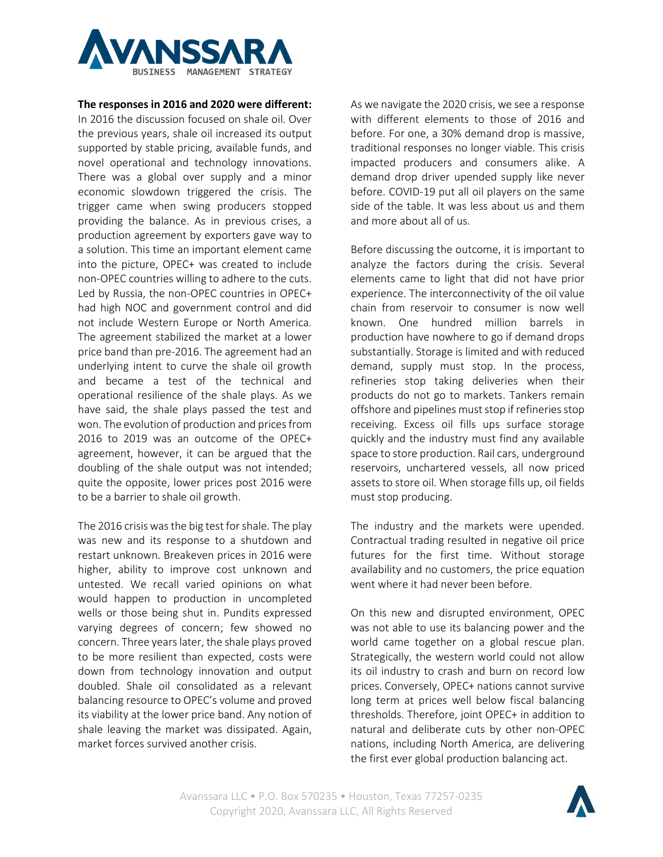

## **The responses in 2016 and 2020 were different:**

In 2016 the discussion focused on shale oil. Over the previous years, shale oil increased its output supported by stable pricing, available funds, and novel operational and technology innovations. There was a global over supply and a minor economic slowdown triggered the crisis. The trigger came when swing producers stopped providing the balance. As in previous crises, a production agreement by exporters gave way to a solution. This time an important element came into the picture, OPEC+ was created to include non-OPEC countries willing to adhere to the cuts. Led by Russia, the non-OPEC countries in OPEC+ had high NOC and government control and did not include Western Europe or North America. The agreement stabilized the market at a lower price band than pre-2016. The agreement had an underlying intent to curve the shale oil growth and became a test of the technical and operational resilience of the shale plays. As we have said, the shale plays passed the test and won. The evolution of production and prices from 2016 to 2019 was an outcome of the OPEC+ agreement, however, it can be argued that the doubling of the shale output was not intended; quite the opposite, lower prices post 2016 were to be a barrier to shale oil growth.

The 2016 crisis was the big test for shale. The play was new and its response to a shutdown and restart unknown. Breakeven prices in 2016 were higher, ability to improve cost unknown and untested. We recall varied opinions on what would happen to production in uncompleted wells or those being shut in. Pundits expressed varying degrees of concern; few showed no concern. Three years later, the shale plays proved to be more resilient than expected, costs were down from technology innovation and output doubled. Shale oil consolidated as a relevant balancing resource to OPEC's volume and proved its viability at the lower price band. Any notion of shale leaving the market was dissipated. Again, market forces survived another crisis.

As we navigate the 2020 crisis, we see a response with different elements to those of 2016 and before. For one, a 30% demand drop is massive, traditional responses no longer viable. This crisis impacted producers and consumers alike. A demand drop driver upended supply like never before. COVID-19 put all oil players on the same side of the table. It was less about us and them and more about all of us.

Before discussing the outcome, it is important to analyze the factors during the crisis. Several elements came to light that did not have prior experience. The interconnectivity of the oil value chain from reservoir to consumer is now well known. One hundred million barrels in production have nowhere to go if demand drops substantially. Storage is limited and with reduced demand, supply must stop. In the process, refineries stop taking deliveries when their products do not go to markets. Tankers remain offshore and pipelines must stop if refineries stop receiving. Excess oil fills ups surface storage quickly and the industry must find any available space to store production. Rail cars, underground reservoirs, unchartered vessels, all now priced assets to store oil. When storage fills up, oil fields must stop producing.

The industry and the markets were upended. Contractual trading resulted in negative oil price futures for the first time. Without storage availability and no customers, the price equation went where it had never been before.

On this new and disrupted environment, OPEC was not able to use its balancing power and the world came together on a global rescue plan. Strategically, the western world could not allow its oil industry to crash and burn on record low prices. Conversely, OPEC+ nations cannot survive long term at prices well below fiscal balancing thresholds. Therefore, joint OPEC+ in addition to natural and deliberate cuts by other non-OPEC nations, including North America, are delivering the first ever global production balancing act.

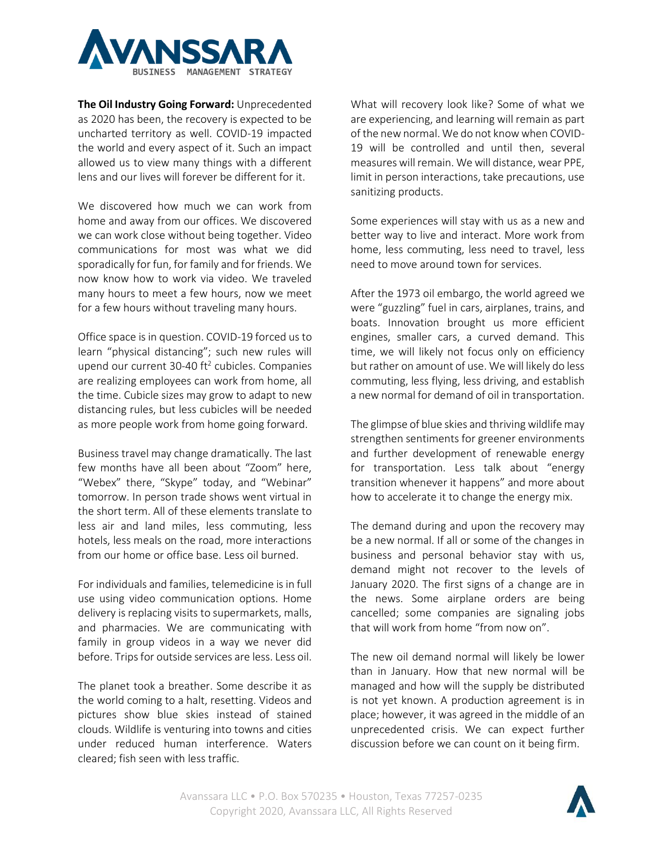

**The Oil Industry Going Forward:** Unprecedented as 2020 has been, the recovery is expected to be uncharted territory as well. COVID-19 impacted the world and every aspect of it. Such an impact allowed us to view many things with a different lens and our lives will forever be different for it.

We discovered how much we can work from home and away from our offices. We discovered we can work close without being together. Video communications for most was what we did sporadically for fun, for family and for friends. We now know how to work via video. We traveled many hours to meet a few hours, now we meet for a few hours without traveling many hours.

Office space is in question. COVID-19 forced us to learn "physical distancing"; such new rules will upend our current 30-40 ft<sup>2</sup> cubicles. Companies are realizing employees can work from home, all the time. Cubicle sizes may grow to adapt to new distancing rules, but less cubicles will be needed as more people work from home going forward.

Business travel may change dramatically. The last few months have all been about "Zoom" here, "Webex" there, "Skype" today, and "Webinar" tomorrow. In person trade shows went virtual in the short term. All of these elements translate to less air and land miles, less commuting, less hotels, less meals on the road, more interactions from our home or office base. Less oil burned.

For individuals and families, telemedicine is in full use using video communication options. Home delivery is replacing visits to supermarkets, malls, and pharmacies. We are communicating with family in group videos in a way we never did before. Trips for outside services are less. Less oil.

The planet took a breather. Some describe it as the world coming to a halt, resetting. Videos and pictures show blue skies instead of stained clouds. Wildlife is venturing into towns and cities under reduced human interference. Waters cleared; fish seen with less traffic.

What will recovery look like? Some of what we are experiencing, and learning will remain as part of the new normal. We do not know when COVID-19 will be controlled and until then, several measures will remain. We will distance, wear PPE, limit in person interactions, take precautions, use sanitizing products.

Some experiences will stay with us as a new and better way to live and interact. More work from home, less commuting, less need to travel, less need to move around town for services.

After the 1973 oil embargo, the world agreed we were "guzzling" fuel in cars, airplanes, trains, and boats. Innovation brought us more efficient engines, smaller cars, a curved demand. This time, we will likely not focus only on efficiency but rather on amount of use. We will likely do less commuting, less flying, less driving, and establish a new normal for demand of oil in transportation.

The glimpse of blue skies and thriving wildlife may strengthen sentiments for greener environments and further development of renewable energy for transportation. Less talk about "energy transition whenever it happens" and more about how to accelerate it to change the energy mix.

The demand during and upon the recovery may be a new normal. If all or some of the changes in business and personal behavior stay with us, demand might not recover to the levels of January 2020. The first signs of a change are in the news. Some airplane orders are being cancelled; some companies are signaling jobs that will work from home "from now on".

The new oil demand normal will likely be lower than in January. How that new normal will be managed and how will the supply be distributed is not yet known. A production agreement is in place; however, it was agreed in the middle of an unprecedented crisis. We can expect further discussion before we can count on it being firm.